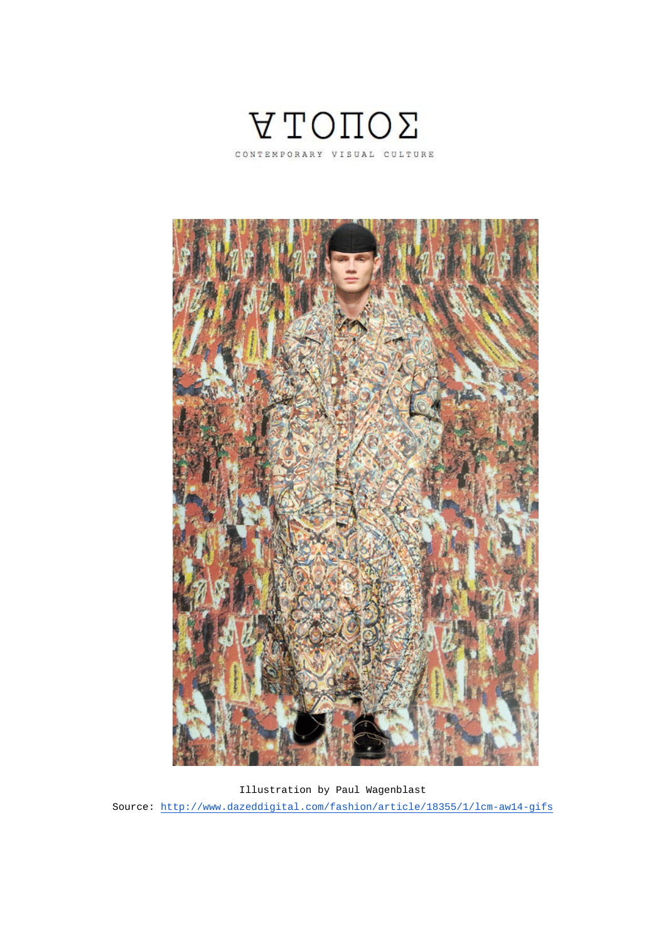



Illustration by Paul Wagenblast Source: http://www.dazeddigital.com/fashion/article/18355/1/lcm-aw14-gifs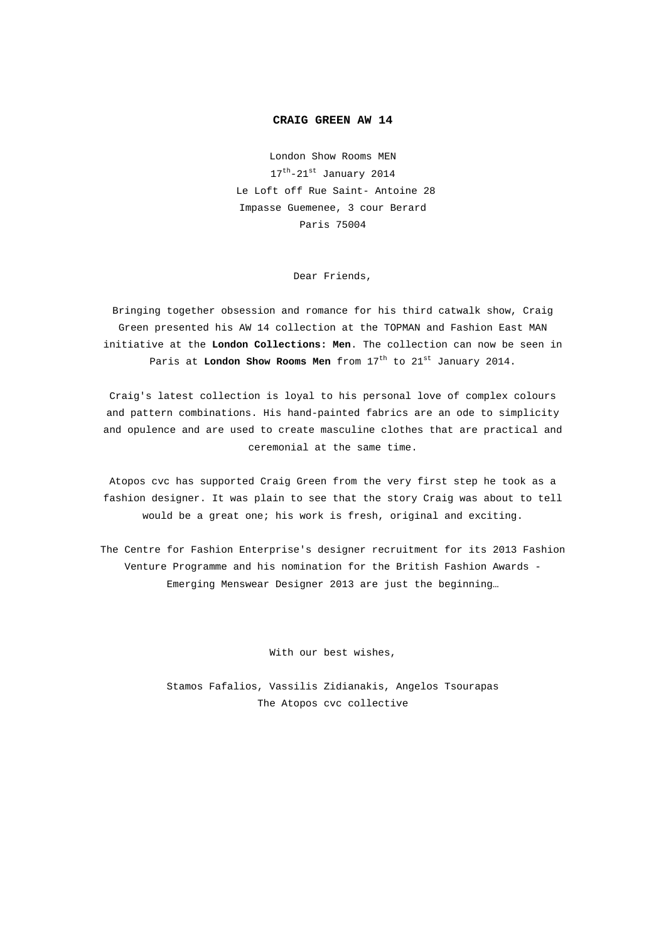## **CRAIG GREEN AW 14**

London Show Rooms MEN  $17^{\text{th}} - 21^{\text{st}}$  January 2014 Le Loft off Rue Saint- Antoine 28 Impasse Guemenee, 3 cour Berard Paris 75004

Dear Friends,

Bringing together obsession and romance for his third catwalk show, Craig Green presented his AW 14 collection at the TOPMAN and Fashion East MAN initiative at the **London Collections: Men**. The collection can now be seen in Paris at **London Show Rooms Men** from 17<sup>th</sup> to 21<sup>st</sup> January 2014.

Craig's latest collection is loyal to his personal love of complex colours and pattern combinations. His hand-painted fabrics are an ode to simplicity and opulence and are used to create masculine clothes that are practical and ceremonial at the same time.

Atopos cvc has supported Craig Green from the very first step he took as a fashion designer. It was plain to see that the story Craig was about to tell would be a great one; his work is fresh, original and exciting.

The Centre for Fashion Enterprise's designer recruitment for its 2013 Fashion Venture Programme and his nomination for the British Fashion Awards - Emerging Menswear Designer 2013 are just the beginning…

With our best wishes,

Stamos Fafalios, Vassilis Zidianakis, Angelos Tsourapas The Atopos cvc collective